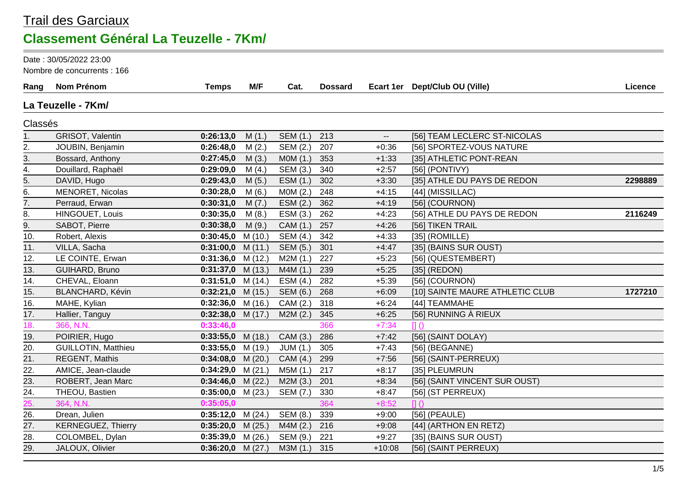### Trail des Garciaux **Classement Général La Teuzelle - 7Km/**

Date : 30/05/2022 23:00

Nombre de concurrents : 166

| Rang           | Nom Prénom                 | <b>Temps</b>        | M/F     | Cat.            | <b>Dossard</b> |          | Ecart 1er Dept/Club OU (Ville)  | Licence |
|----------------|----------------------------|---------------------|---------|-----------------|----------------|----------|---------------------------------|---------|
|                | La Teuzelle - 7Km/         |                     |         |                 |                |          |                                 |         |
| Classés        |                            |                     |         |                 |                |          |                                 |         |
| 1.             | GRISOT, Valentin           | 0:26:13,0           | M(1.)   | SEM (1.)        | 213            | $-$      | [56] TEAM LECLERC ST-NICOLAS    |         |
| 2.             | JOUBIN, Benjamin           | 0:26:48,0           | M(2.)   | SEM (2.)        | 207            | $+0:36$  | [56] SPORTEZ-VOUS NATURE        |         |
| $\frac{3}{2}$  | Bossard, Anthony           | 0:27:45,0           | M(3.)   | MOM(1.)         | 353            | $+1:33$  | [35] ATHLETIC PONT-REAN         |         |
| $\frac{4}{ }$  | Douillard, Raphaël         | 0:29:09,0           | M(4.)   | SEM (3.)        | 340            | $+2:57$  | [56] (PONTIVY)                  |         |
| 5.             | DAVID, Hugo                | 0:29:43,0           | M(5.)   | ESM (1.)        | 302            | $+3:30$  | [35] ATHLE DU PAYS DE REDON     | 2298889 |
| 6.             | MENORET, Nicolas           | 0:30:28,0           | M(6.)   | MOM(2.)         | 248            | $+4:15$  | [44] (MISSILLAC)                |         |
| 7.             | Perraud, Erwan             | 0:30:31,0           | M(7.)   | ESM(2.)         | 362            | $+4:19$  | [56] (COURNON)                  |         |
| 8.             | HINGOUET, Louis            | 0:30:35,0           | M(8.)   | ESM (3.)        | 262            | $+4:23$  | [56] ATHLE DU PAYS DE REDON     | 2116249 |
| 9.             | SABOT, Pierre              | 0:30:38,0           | M(9.)   | CAM (1.)        | 257            | $+4:26$  | [56] TIKEN TRAIL                |         |
| 10.            | Robert, Alexis             | 0:30:45,0           | M(10.)  | SEM (4.)        | 342            | $+4:33$  | [35] (ROMILLE)                  |         |
| 11.            | VILLA, Sacha               | 0:31:00,0           | M(11.)  | <b>SEM (5.)</b> | 301            | $+4:47$  | [35] (BAINS SUR OUST)           |         |
| 12.            | LE COINTE, Erwan           | 0:31:36,0           | M(12.)  | M2M(1.)         | 227            | $+5:23$  | [56] (QUESTEMBERT)              |         |
| 13.            | GUIHARD, Bruno             | 0:31:37,0           | M(13.)  | M4M(1.)         | 239            | $+5:25$  | [35] (REDON)                    |         |
| 14.            | CHEVAL, Eloann             | 0:31:51,0           | M(14.)  | ESM(4.)         | 282            | $+5:39$  | [56] (COURNON)                  |         |
| 15.            | BLANCHARD, Kévin           | 0:32:21,0           | M(15.)  | <b>SEM (6.)</b> | 268            | $+6:09$  | [10] SAINTE MAURE ATHLETIC CLUB | 1727210 |
| 16.            | MAHE, Kylian               | $0:32:36,0$ M (16.) |         | CAM (2.)        | 318            | $+6:24$  | [44] TEAMMAHE                   |         |
| 17.            | Hallier, Tanguy            | 0:32:38,0           | M(17.)  | M2M(2.)         | 345            | $+6:25$  | [56] RUNNING À RIEUX            |         |
| 18.            | 366, N.N.                  | 0:33:46,0           |         |                 | 366            | $+7:34$  |                                 |         |
| 19.            | POIRIER, Hugo              | 0:33:55,0           | M (18.) | CAM (3.)        | 286            | $+7:42$  | [56] (SAINT DOLAY)              |         |
| 20.            | <b>GUILLOTIN, Matthieu</b> | 0:33:55,0           | M (19.) | JUM(1.)         | 305            | $+7:43$  | $[56]$ (BEGANNE)                |         |
| 21.            | REGENT, Mathis             | 0:34:08,0           | M(20.)  | CAM (4.)        | 299            | $+7:56$  | [56] (SAINT-PERREUX)            |         |
| 22.            | AMICE, Jean-claude         | 0:34:29,0           | M(21.)  | M5M (1.)        | 217            | $+8:17$  | [35] PLEUMRUN                   |         |
| $\frac{23}{ }$ | ROBERT, Jean Marc          | 0:34:46,0           | M(22.)  | M2M(3.)         | 201            | $+8:34$  | [56] (SAINT VINCENT SUR OUST)   |         |
| 24.            | THEOU, Bastien             | 0:35:00,0           | M(23.)  | SEM (7.)        | 330            | $+8:47$  | [56] (ST PERREUX)               |         |
| 25.            | 364, N.N.                  | 0:35:05,0           |         |                 | 364            | $+8:52$  | $\Pi$ $\Omega$                  |         |
| 26.            | Drean, Julien              | $0:35:12,0$ M (24.) |         | SEM (8.)        | 339            | $+9:00$  | $[56]$ (PEAULE)                 |         |
| 27.            | <b>KERNEGUEZ, Thierry</b>  | 0:35:20,0           | M(25.)  | M4M(2.)         | 216            | $+9:08$  | [44] (ARTHON EN RETZ)           |         |
| 28.            | COLOMBEL, Dylan            | 0:35:39,0           | M(26.)  | SEM (9.)        | 221            | $+9:27$  | [35] (BAINS SUR OUST)           |         |
| 29.            | JALOUX, Olivier            | $0:36:20,0$ M (27.) |         | M3M(1.)         | 315            | $+10:08$ | [56] (SAINT PERREUX)            |         |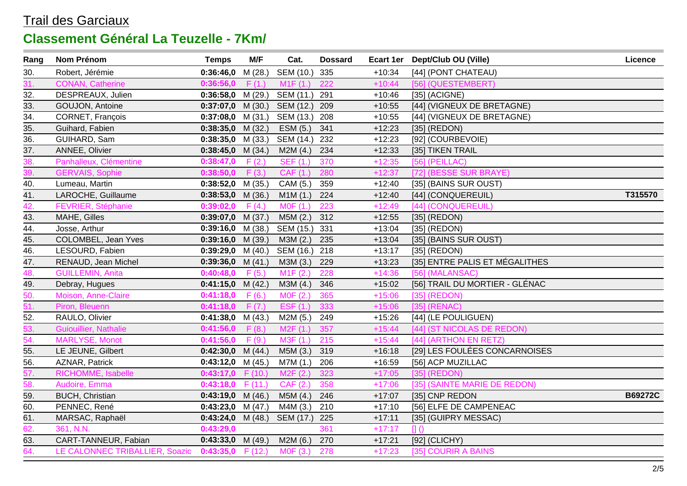| Rang              | Nom Prénom                     | <b>Temps</b>             | M/F     | Cat.            | <b>Dossard</b> |          | Ecart 1er Dept/Club OU (Ville) | Licence        |
|-------------------|--------------------------------|--------------------------|---------|-----------------|----------------|----------|--------------------------------|----------------|
| 30.               | Robert, Jérémie                | 0:36:46,0                | M (28.) | SEM (10.)       | 335            | $+10:34$ | [44] (PONT CHATEAU)            |                |
| 31.               | <b>CONAN, Catherine</b>        | 0:36:56,0                | F(1.)   | M1F(1.)         | 222            | $+10:44$ | [56] (QUESTEMBERT)             |                |
| 32.               | DESPREAUX, Julien              | $0:36:58,0$ M (29.)      |         | SEM (11.) 291   |                | $+10:46$ | $[35]$ (ACIGNE)                |                |
| 33.               | GOUJON, Antoine                | $0:37:07,0$ M (30.)      |         | SEM (12.)       | 209            | $+10:55$ | [44] (VIGNEUX DE BRETAGNE)     |                |
| $\overline{34}$ . | CORNET, François               | 0:37:08,0                | M (31.) | SEM (13.)       | 208            | $+10:55$ | [44] (VIGNEUX DE BRETAGNE)     |                |
| 35.               | Guihard, Fabien                | $0:38:35,0$ M (32.)      |         | ESM (5.)        | 341            | $+12:23$ | $[35]$ (REDON)                 |                |
| $\overline{36}$ . | GUIHARD, Sam                   | $0:38:35,0$ M (33.)      |         | SEM (14.)       | 232            | $+12:23$ | [92] (COURBEVOIE)              |                |
| $\frac{37}{38}$   | ANNEE, Olivier                 | $0:38:45,0$ M (34.)      |         | M2M(4.)         | 234            | $+12:33$ | [35] TIKEN TRAIL               |                |
|                   | Panhalleux, Clémentine         | 0:38:47,0                | F(2.)   | <b>SEF (1.)</b> | 370            | $+12:35$ | $[56]$ (PEILLAC)               |                |
| 39.               | <b>GERVAIS, Sophie</b>         | 0:38:50,0                | F(3.)   | CAF (1.)        | 280            | $+12:37$ | [72] (BESSE SUR BRAYE)         |                |
| 40.               | Lumeau, Martin                 | $0:38:52,0$ M (35.)      |         | CAM (5.)        | 359            | $+12:40$ | [35] (BAINS SUR OUST)          |                |
| 41.               | LAROCHE, Guillaume             | $0:38:53,0$ M (36.)      |         | M1M(1.)         | 224            | $+12:40$ | [44] (CONQUEREUIL)             | T315570        |
| 42.               | FEVRIER, Stéphanie             | 0:39:02,0                | F(4.)   | MOF (1.)        | 223            | $+12:49$ | [44] (CONQUEREUIL)             |                |
| 43.               | MAHE, Gilles                   | $0:39:07,0$ M (37.)      |         | M5M(2.)         | 312            | $+12:55$ | $[35]$ (REDON)                 |                |
| 44.               | Josse, Arthur                  | $0:39:16,0$ M (38.)      |         | SEM (15.) 331   |                | $+13:04$ | $[35]$ (REDON)                 |                |
| $\overline{45}$ . | COLOMBEL, Jean Yves            | $0:39:16,0$ M (39.)      |         | M3M(2.)         | 235            | $+13:04$ | [35] (BAINS SUR OUST)          |                |
| 46.               | LESOURD, Fabien                | $0:39:29,0$ M (40.)      |         | SEM (16.) 218   |                | $+13:17$ | $[35]$ (REDON)                 |                |
| 47.               | RENAUD, Jean Michel            | $0:39:36,0$ M (41.)      |         | M3M (3.)        | 229            | $+13:23$ | [35] ENTRE PALIS ET MÉGALITHES |                |
| 48.               | <b>GUILLEMIN, Anita</b>        | 0:40:48,0                | F(5.)   | M1F(2.)         | 228            | $+14:36$ | [56] (MALANSAC)                |                |
| 49.               | Debray, Hugues                 | $0:41:15,0$ M (42.)      |         | M3M (4.)        | 346            | $+15:02$ | [56] TRAIL DU MORTIER - GLÉNAC |                |
| 50.               | Moison, Anne-Claire            | 0:41:18,0                | F(6.)   | MOF(2.)         | 365            | $+15:06$ | [35] (REDON)                   |                |
| 51.               | Piron, Bleuenn                 | 0:41:18,0                | F(7.)   | EST(1.)         | 333            | $+15:06$ | $[35]$ (RENAC)                 |                |
| 52.               | RAULO, Olivier                 | $0:41:38,0$ M (43.)      |         | M2M (5.)        | 249            | $+15:26$ | [44] (LE POULIGUEN)            |                |
| $\frac{53}{54}$   | Guiouillier, Nathalie          | 0:41:56,0                | F(8.)   | M2F(1.)         | 357            | $+15:44$ | [44] (ST NICOLAS DE REDON)     |                |
|                   | MARLYSE, Monot                 | 0:41:56,0                | F(9.)   | M3F(1.)         | 215            | $+15:44$ | [44] (ARTHON EN RETZ)          |                |
| 55.               | LE JEUNE, Gilbert              | $0:42:30,0$ M (44.)      |         | M5M (3.)        | 319            | $+16:18$ | [29] LES FOULÉES CONCARNOISES  |                |
| 56.               | AZNAR, Patrick                 | $0:43:12,0$ M (45.)      |         | M7M (1.)        | 206            | $+16:59$ | [56] ACP MUZILLAC              |                |
| 57.               | RICHOMME, Isabelle             | $0:43:17,0$ F (10.)      |         | M2F(2.)         | 323            | $+17:05$ | [35] (REDON)                   |                |
| 58.               | Audoire, Emma                  | 0:43:18,0                | F(11.)  | CAF (2.)        | 358            | $+17:06$ | [35] (SAINTE MARIE DE REDON)   |                |
| 59.               | <b>BUCH, Christian</b>         | $0:43:19,0$ M (46.)      |         | M5M (4.)        | 246            | $+17:07$ | [35] CNP REDON                 | <b>B69272C</b> |
| $\overline{60}$ . | PENNEC, René                   | $0:43:23,0$ M (47.)      |         | M4M (3.)        | 210            | $+17:10$ | [56] ELFE DE CAMPENEAC         |                |
| 61.               | MARSAC, Raphaël                | $0:43:24,0 \quad M(48.)$ |         | SEM (17.)       | 225            | $+17:11$ | [35] (GUIPRY MESSAC)           |                |
| 62.               | 361, N.N.                      | 0:43:29,0                |         |                 | 361            | $+17:17$ |                                |                |
| 63.               | CART-TANNEUR, Fabian           | $0:43:33,0$ M (49.)      |         | M2M (6.)        | 270            | $+17:21$ | [92] (CLICHY)                  |                |
| 64.               | LE CALONNEC TRIBALLIER, Soazic | $0:43:35,0$ F (12.)      |         | MOF(3.)         | 278            | $+17:23$ | [35] COURIR A BAINS            |                |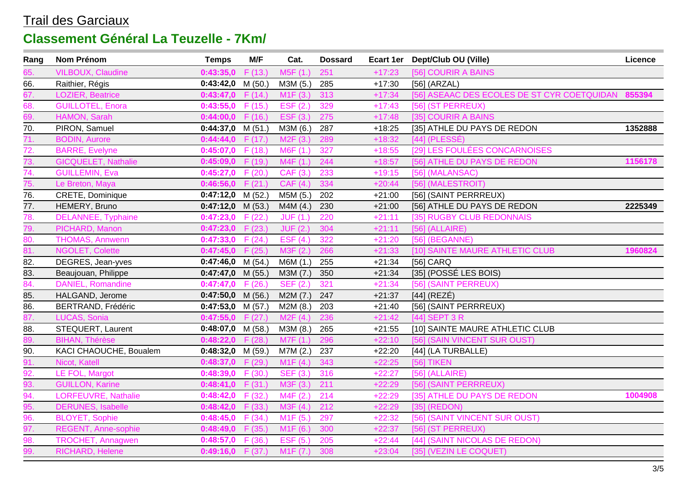| Rang                                   | Nom Prénom                 | <b>Temps</b>        | M/F     | Cat.                  | <b>Dossard</b> |          | Ecart 1er Dept/Club OU (Ville)                     | Licence |
|----------------------------------------|----------------------------|---------------------|---------|-----------------------|----------------|----------|----------------------------------------------------|---------|
| 65.                                    | <b>VILBOUX, Claudine</b>   | 0:43:35,0           | F(13.)  | M5F (1.)              | 251            | $+17:23$ | [56] COURIR A BAINS                                |         |
| 66.                                    | Raithier, Régis            | 0:43:42,0           | M (50.) | M3M (5.)              | 285            | $+17:30$ | $[56]$ (ARZAL)                                     |         |
| 67.                                    | LOZIER, Beatrice           | 0:43:47,0           | F(14.)  | M <sub>1</sub> F (3.) | 313            | $+17:34$ | [56] ASEAAC DES ECOLES DE ST CYR COETQUIDAN 855394 |         |
| 68.                                    | <b>GUILLOTEL, Enora</b>    | $0:43:55,0$ F (15.) |         | EST(2.)               | 329            | $+17:43$ | [56] (ST PERREUX)                                  |         |
| 69.                                    | HAMON, Sarah               | 0:44:00,0           | F(16.)  | ESF (3.)              | 275            | $+17:48$ | [35] COURIR A BAINS                                |         |
| 70.                                    | PIRON, Samuel              | $0:44:37,0$ M (51.) |         | M3M (6.)              | 287            | $+18:25$ | [35] ATHLE DU PAYS DE REDON                        | 1352888 |
| 71.                                    | <b>BODIN, Aurore</b>       | 0:44:44,0           | F(17.)  | M2F(3.)               | 289            | $+18:32$ | $[44]$ (PLESSÉ)                                    |         |
| 72.<br>73.                             | <b>BARRE, Evelyne</b>      | 0:45:07,0           | F(18.)  | M6F(1.)               | 327            | $+18:55$ | [29] LES FOULÉES CONCARNOISES                      |         |
|                                        | <b>GICQUELET, Nathalie</b> | 0:45:09,0           | F(19.)  | MAF(1.)               | 244            | $+18:57$ | [56] ATHLE DU PAYS DE REDON                        | 1156178 |
| 74.                                    | <b>GUILLEMIN, Eva</b>      | 0:45:27,0           | F(20.)  | CAF (3.)              | 233            | $+19:15$ | [56] (MALANSAC)                                    |         |
| 75.                                    | Le Breton, Maya            | 0:46:56,0           | F(21.)  | CAF (4.)              | 334            | $+20:44$ | [56] (MALESTROIT)                                  |         |
| 76.                                    | CRETE, Dominique           | 0:47:12,0           | M (52.) | M5M (5.)              | 202            | $+21:00$ | [56] (SAINT PERRREUX)                              |         |
| $\overline{77}$ .                      | HEMERY, Bruno              | 0:47:12,0           | M (53.) | M4M (4.)              | 230            | $+21:00$ | [56] ATHLE DU PAYS DE REDON                        | 2225349 |
| 78.<br>79.                             | DELANNEE, Typhaine         | 0:47:23,0           | F(22.)  | JUF(1.)               | 220            | $+21:11$ | [35] RUGBY CLUB REDONNAIS                          |         |
|                                        | PICHARD, Manon             | $0:47:23,0$ F (23.) |         | JUF(2.)               | 304            | $+21:11$ | $[56]$ (ALLAIRE)                                   |         |
| 80.                                    | <b>THOMAS, Annwenn</b>     | $0:47:33,0$ F (24.) |         | EST(4.)               | 322            | $+21:20$ | [56] (BEGANNE)                                     |         |
| $\overline{81}$ .                      | <b>NGOLET, Colette</b>     | 0:47:45,0           | F(25.)  | M3F(2.)               | 266            | $+21:33$ | [10] SAINTE MAURE ATHLETIC CLUB                    | 1960824 |
| 82.                                    | DEGRES, Jean-yves          | 0:47:46,0           | M(54.)  | M6M (1.)              | 255            | $+21:34$ | [56] CARQ                                          |         |
| 83.                                    | Beaujouan, Philippe        | $0:47:47,0$ M (55.) |         | M3M (7.)              | 350            | $+21:34$ | [35] (POSSÉ LES BOIS)                              |         |
| 84.                                    | <b>DANIEL, Romandine</b>   | 0:47:47,0           | F(26.)  | SEF (2.)              | 321            | $+21:34$ | [56] (SAINT PERREUX)                               |         |
| 85.                                    | HALGAND, Jerome            | 0:47:50,0           | M (56.) | M2M(7.)               | 247            | $+21:37$ | $[44]$ (REZÉ)                                      |         |
| 86.                                    | <b>BERTRAND, Frédéric</b>  | 0:47:53,0           | M (57.) | M2M(8.)               | 203            | $+21:40$ | [56] (SAINT PERRREUX)                              |         |
| 87.                                    | LUCAS, Sonia               | 0:47:55,0           | F(27.)  | M2F(4)                | 236            | $+21:42$ | [44] SEPT 3 R                                      |         |
| 88.                                    | STEQUERT, Laurent          | $0:48:07,0$ M (58.) |         | M3M (8.)              | 265            | $+21:55$ | [10] SAINTE MAURE ATHLETIC CLUB                    |         |
| 89.                                    | <b>BIHAN, Thérèse</b>      | $0:48:22,0$ F (28.) |         | M7F(1.)               | 296            | $+22:10$ | [56] (SAIN VINCENT SUR OUST)                       |         |
| 90.                                    | KACI CHAOUCHE, Boualem     | $0:48:32,0$ M (59.) |         | M7M (2.)              | 237            | $+22:20$ | [44] (LA TURBALLE)                                 |         |
| $\frac{91}{92}$                        | Nicot, Katell              | 0:48:37,0           | F(29.)  | M1F(4)                | 343            | $+22:25$ | [56] TIKEN                                         |         |
|                                        | LE FOL, Margot             | 0:48:39,0           | F(30.)  | SEF (3.)              | 316            | $+22:27$ | $[56]$ (ALLAIRE)                                   |         |
| 93.                                    | <b>GUILLON, Karine</b>     | 0:48:41,0           | F(31.)  | M3F (3.)              | 211            | $+22:29$ | [56] (SAINT PERRREUX)                              |         |
|                                        | LORFEUVRE, Nathalie        | 0:48:42,0           | F(32.)  | M4F (2.)              | 214            | $+22:29$ | [35] ATHLE DU PAYS DE REDON                        | 1004908 |
|                                        | <b>DERUNES, Isabelle</b>   | 0:48:42,0           | F(33.)  | M3F(4.)               | 212            | $+22:29$ | [35] (REDON)                                       |         |
| $\frac{94.}{95.}$<br>$\frac{95.}{96.}$ | <b>BLOYET, Sophie</b>      | $0:48:45,0$ F (34.) |         | M1F(5.)               | 297            | $+22:32$ | [56] (SAINT VINCENT SUR OUST)                      |         |
| 97.                                    | REGENT, Anne-sophie        | $0:48:49,0$ F (35.) |         | M1F(6.)               | 300            | $+22:37$ | [56] (ST PERREUX)                                  |         |
| 98.                                    | <b>TROCHET, Annagwen</b>   | 0:48:57,0           | F(36.)  | ESF (5.)              | 205            | $+22:44$ | [44] (SAINT NICOLAS DE REDON)                      |         |
| 99.                                    | RICHARD, Helene            | $0:49:16,0$ F (37.) |         | M1F (7.)              | 308            | $+23:04$ | [35] (VEZIN LE COQUET)                             |         |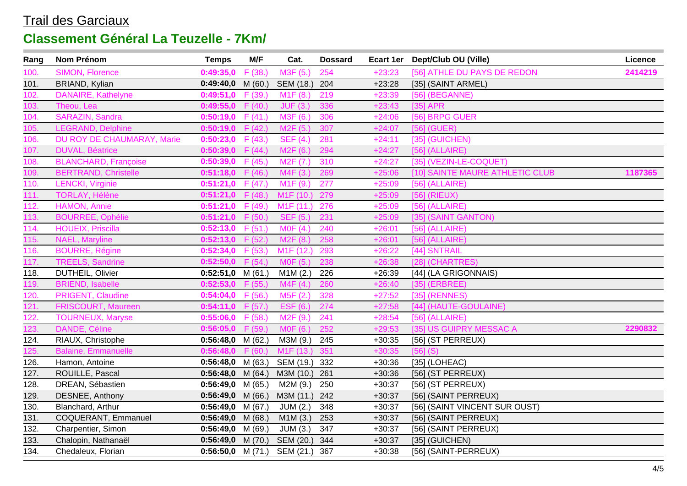| Rang | Nom Prénom                  | <b>Temps</b>             | M/F     | Cat.                              | <b>Dossard</b> |          | Ecart 1er Dept/Club OU (Ville)  | Licence |
|------|-----------------------------|--------------------------|---------|-----------------------------------|----------------|----------|---------------------------------|---------|
| 100. | SIMON, Florence             | 0:49:35,0                | F(38.)  | M3F (5.)                          | 254            | $+23:23$ | [56] ATHLE DU PAYS DE REDON     | 2414219 |
| 101. | BRIAND, Kylian              | 0:49:40,0                | M(60.)  | SEM (18.)                         | 204            | $+23:28$ | [35] (SAINT ARMEL)              |         |
| 102. | DANAIRE, Kathelyne          | 0:49:51,0                | F (39.) | M1F(8.)                           | 219            | $+23:39$ | [56] (BEGANNE)                  |         |
| 103. | Theou, Lea                  | 0:49:55,0                | F(40.)  | JUF(3.)                           | 336            | $+23:43$ | $[35]$ APR                      |         |
| 104. | <b>SARAZIN, Sandra</b>      | 0:50:19,0                | F(41.)  | M3F (6.)                          | 306            | $+24:06$ | [56] BRPG GUER                  |         |
| 105. | <b>LEGRAND, Delphine</b>    | 0:50:19,0                | F(42.)  | M <sub>2</sub> F (5.)             | 307            | $+24:07$ | $[56]$ (GUER)                   |         |
| 106. | DU ROY DE CHAUMARAY, Marie  | 0:50:23,0                | F(43.)  | <b>SEF (4.)</b>                   | 281            | $+24:11$ | $[35]$ (GUICHEN)                |         |
| 107. | <b>DUVAL, Béatrice</b>      | 0:50:39,0                | F(44.)  | M2F(6.)                           | 294            | $+24:27$ | $[56]$ (ALLAIRE)                |         |
| 108. | <b>BLANCHARD, Françoise</b> | 0:50:39,0                | F(45.)  | M <sub>2</sub> F (7.)             | 310            | $+24:27$ | [35] (VEZIN-LE-COQUET)          |         |
| 109. | <b>BERTRAND, Christelle</b> | 0:51:18,0                | F(46.)  | M4F (3.)                          | 269            | $+25:06$ | [10] SAINTE MAURE ATHLETIC CLUB | 1187365 |
| 110. | <b>LENCKI</b> , Virginie    | 0:51:21,0                | F(47.)  | M1F(9.)                           | 277            | $+25:09$ | $[56]$ (ALLAIRE)                |         |
| 111. | TORLAY, Hélène              | 0:51:21,0                | F(48.)  | M <sub>1</sub> F (10.)            | 279            | $+25:09$ | $[56]$ (RIEUX)                  |         |
| 112. | HAMON, Annie                | 0:51:21,0                | F(49.)  | M <sub>1</sub> F (11.)            | 276            | $+25:09$ | $[56]$ (ALLAIRE)                |         |
| 113. | <b>BOURREE, Ophélie</b>     | 0:51:21,0                | F(50.)  | SEF (5.)                          | 231            | $+25:09$ | [35] (SAINT GANTON)             |         |
| 114. | <b>HOUEIX, Priscilla</b>    | 0:52:13,0                | F(51.)  | MOF(4.)                           | 240            | $+26:01$ | $[56]$ (ALLAIRE)                |         |
| 115. | NAEL, Maryline              | 0:52:13,0                | F(52.)  | M <sub>2</sub> F (8.)             | 258            | $+26:01$ | $[56]$ (ALLAIRE)                |         |
| 116. | <b>BOURRE, Régine</b>       | 0:52:34,0                | F(53.)  | M <sub>1</sub> F (12.)            | 293            | $+26:22$ | [44] SNTRAIL                    |         |
| 117. | <b>TREELS, Sandrine</b>     | 0:52:50,0                | F(54.)  | MOF(5.)                           | 238            | $+26:38$ | [28] (CHARTRES)                 |         |
| 118. | DUTHEIL, Olivier            | 0:52:51,0                | M(61.)  | M1M(2.)                           | 226            | $+26:39$ | [44] (LA GRIGONNAIS)            |         |
| 119. | <b>BRIEND, Isabelle</b>     | 0:52:53,0                | F(55.)  | MAF(4.)                           | 260            | $+26:40$ | $[35]$ (ERBREE)                 |         |
| 120. | PRIGENT, Claudine           | 0:54:04,0                | F(56.)  | M5F (2.)                          | 328            | $+27:52$ | [35] (RENNES)                   |         |
| 121. | FRISCOURT, Maureen          | 0:54:11,0                | F(57.)  | ESF (6.)                          | 274            | $+27:58$ | [44] (HAUTE-GOULAINE)           |         |
| 122. | <b>TOURNEUX, Maryse</b>     | 0:55:06,0                | F(58.)  | M2F (9.)                          | 241            | $+28:54$ | $[56]$ (ALLAIRE)                |         |
| 123. | DANDE, Céline               | 0:56:05,0                | F(59.)  | M0F (6.)                          | 252            | $+29:53$ | [35] US GUIPRY MESSAC A         | 2290832 |
| 124. | RIAUX, Christophe           | 0:56:48,0                | M (62.) | M3M (9.)                          | 245            | $+30:35$ | [56] (ST PERREUX)               |         |
| 125. | <b>Balaine, Emmanuelle</b>  | 0:56:48,0                | F(60.)  | M <sub>1</sub> F (13.)            | 351            | $+30:35$ | $[56]$ (S)                      |         |
| 126. | Hamon, Antoine              | 0:56:48,0                | M (63.) | SEM (19.)                         | 332            | $+30:36$ | $[35]$ (LOHEAC)                 |         |
| 127. | ROUILLE, Pascal             | 0:56:48,0                | M(64.)  | M3M (10.)                         | 261            | $+30:36$ | [56] (ST PERREUX)               |         |
| 128. | DREAN, Sébastien            | 0:56:49,0                | M (65.) | M2M (9.)                          | 250            | $+30:37$ | [56] (ST PERREUX)               |         |
| 129. | DESNEE, Anthony             | $0:56:49,0$ M (66.)      |         | M3M (11.) 242                     |                | $+30:37$ | [56] (SAINT PERREUX)            |         |
| 130. | Blanchard, Arthur           | 0:56:49,0                | M (67.) | JUM(2.)                           | 348            | $+30:37$ | [56] (SAINT VINCENT SUR OUST)   |         |
| 131. | COQUERANT, Emmanuel         | $0:56:49,0$ M (68.)      |         | M1M(3.)                           | 253            | $+30:37$ | [56] (SAINT PERREUX)            |         |
| 132. | Charpentier, Simon          | 0:56:49,0                | M (69.) | JUM(3.)                           | 347            | $+30:37$ | [56] (SAINT PERREUX)            |         |
| 133. | Chalopin, Nathanaël         | $0:56:49,0 \quad M(70.)$ |         | SEM (20.) 344                     |                | $+30:37$ | [35] (GUICHEN)                  |         |
| 134. | Chedaleux, Florian          |                          |         | $0:56:50,0$ M (71.) SEM (21.) 367 |                | $+30:38$ | [56] (SAINT-PERREUX)            |         |
|      |                             |                          |         |                                   |                |          |                                 |         |